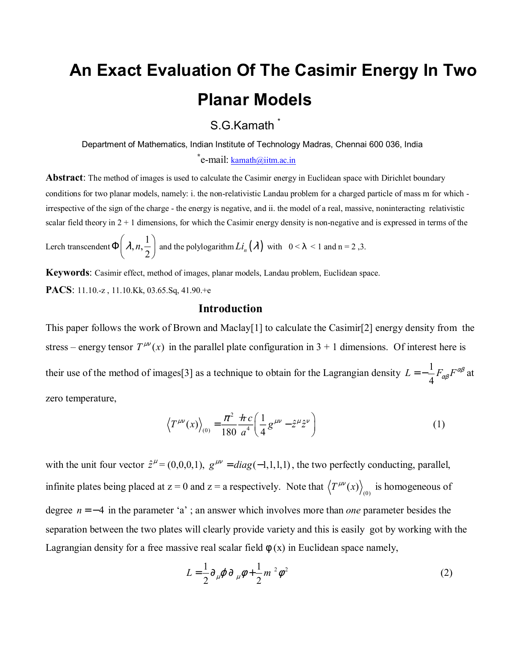## **An Exact Evaluation Of The Casimir Energy In Two Planar Models**

S.G.Kamath \*

Department of Mathematics, Indian Institute of Technology Madras, Chennai 600 036, India

 **\***  $\text{e-mail:}$  kamath@iitm.ac.in

**Abstract**: The method of images is used to calculate the Casimir energy in Euclidean space with Dirichlet boundary conditions for two planar models, namely: i. the non-relativistic Landau problem for a charged particle of mass m for which irrespective of the sign of the charge - the energy is negative, and ii. the model of a real, massive, noninteracting relativistic scalar field theory in  $2 + 1$  dimensions, for which the Casimir energy density is non-negative and is expressed in terms of the

Lerch transcendent  $\Phi\left(\lambda, n, \frac{1}{2}\right)$  and the polylogarithm  $Li_n(\lambda)$  with  $0 < \lambda < 1$  and  $n = 2, 3$ .

**Keywords**: Casimir effect, method of images, planar models, Landau problem, Euclidean space. **PACS**: 11.10.-z , 11.10.Kk, 03.65.Sq, 41.90.+e

## **Introduction**

This paper follows the work of Brown and Maclay [1] to calculate the Casimir [2] energy density from the stress – energy tensor  $T^{\mu\nu}(x)$  in the parallel plate configuration in 3 + 1 dimensions. Of interest here is their use of the method of images[3] as a technique to obtain for the Lagrangian density  $L = -\frac{1}{4}$  $L = -\frac{1}{4} F_{\alpha\beta} F^{\alpha\beta}$  at zero temperature,

$$
\left\langle T^{\mu\nu}(x) \right\rangle_{(0)} = \frac{\pi^2}{180} \frac{\hbar c}{a^4} \left( \frac{1}{4} g^{\mu\nu} - \hat{z}^\mu \hat{z}^\nu \right) \tag{1}
$$

with the unit four vector  $\hat{z}^{\mu} = (0,0,0,1)$ ,  $g^{\mu\nu} = diag(-1,1,1,1)$ , the two perfectly conducting, parallel, infinite plates being placed at  $z = 0$  and  $z = a$  respectively. Note that  $\langle T^{\mu\nu}(x) \rangle_{(0)}$  is homogeneous of degree *n* = − 4 in the parameter ëaí ; an answer which involves more than *one* parameter besides the separation between the two plates will clearly provide variety and this is easily got by working with the Lagrangian density for a free massive real scalar field  $\phi(x)$  in Euclidean space namely,

$$
L = \frac{1}{2} \partial_{\mu} \varphi \, \partial_{\mu} \phi + \frac{1}{2} m^2 \phi^2 \tag{2}
$$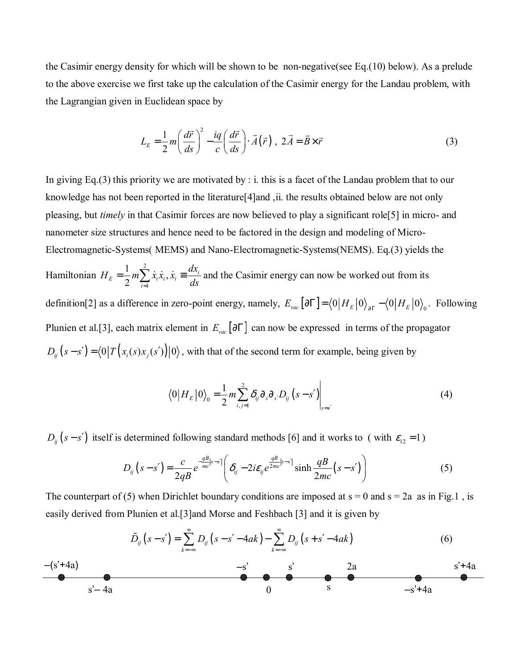the Casimir energy density for which will be shown to be non-negative(see Eq.(10) below). As a prelude to the above exercise we first take up the calculation of the Casimir energy for the Landau problem, with the Lagrangian given in Euclidean space by

$$
L_E = \frac{1}{2} m \left( \frac{d\vec{r}}{ds} \right)^2 - \frac{iq}{c} \left( \frac{d\vec{r}}{ds} \right) \cdot \vec{A}(\vec{r}) \ , \ 2\vec{A} = \vec{B} \times \vec{r} \tag{3}
$$

In giving Eq.(3) this priority we are motivated by : i. this is a facet of the Landau problem that to our knowledge has not been reported in the literature[4]and ,ii. the results obtained below are not only pleasing, but *timely* in that Casimir forces are now believed to play a significant role[5] in micro- and nanometer size structures and hence need to be factored in the design and modeling of Micro-Electromagnetic-Systems( MEMS) and Nano-Electromagnetic-Systems(NEMS). Eq.(3) yields the

Hamiltonian 2  $\dot{x}_E = \frac{1}{2} m \sum_{i=1}^2 \dot{x}_i \dot{x}_i, \dot{x}_i \equiv \frac{dx_i}{ds}$ *i*  $H_E = \frac{1}{2} m \sum_{i=1}^{2} \dot{x}_i \dot{x}_i$ ,  $\dot{x}_i \equiv \frac{dx_i}{ds}$  and the Casimir energy can now be worked out from its definition[2] as a difference in zero-point energy, namely,  $E_{vac} [\partial \Gamma] = \langle 0 | H_E | 0 \rangle_{\partial \Gamma} - \langle 0 | H_E | 0 \rangle_{\partial}$ . Following Plunien et al.[3], each matrix element in *Evac* [∂Γ] can now be expressed in terms of the propagator  $D_{ij}(s-s') = \langle 0 | T (x_i(s)x_j(s')) | 0 \rangle$ , with that of the second term for example, being given by

$$
\langle 0|H_E|0\rangle_0 = \frac{1}{2}m\sum_{i,j=1}^2 \delta_{ij}\partial_s\partial_{s'}D_{ij}(s-s')\bigg|_{s=s'}
$$
 (4)

 $D_{ij}$  ( $s - s'$ ) itself is determined following standard methods [6] and it works to ( with  $\varepsilon_{12} = 1$ )

$$
D_{ij}(s-s') = \frac{c}{2qB}e^{-\frac{qB}{mc}|s-s'|}\left(\delta_{ij} - 2i\varepsilon_{ij}e^{\frac{qB}{2mc}|s-s'|}\sinh\frac{qB}{2mc}(s-s')\right)
$$
(5)

The counterpart of (5) when Dirichlet boundary conditions are imposed at  $s = 0$  and  $s = 2a$  as in Fig.1, is easily derived from Plunien et al.[3]and Morse and Feshbach [3] and it is given by

$$
\tilde{D}_{ij}(s-s') = \sum_{k=-\infty}^{\infty} D_{ij}(s-s'-4ak) - \sum_{k=-\infty}^{\infty} D_{ij}(s+s'-4ak)
$$
(6)  
\n- (s'+4a)  
\n- s'  
\n8  
\n- 2a  
\n- s'+4a  
\n- s'+4a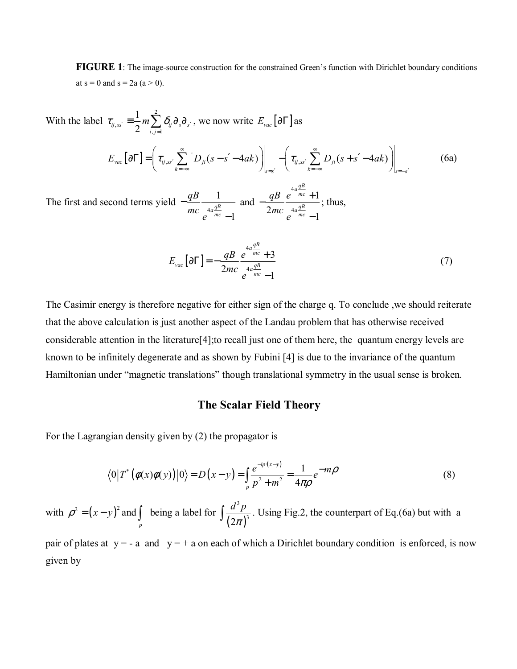**FIGURE 1**: The image-source construction for the constrained Green's function with Dirichlet boundary conditions at  $s = 0$  and  $s = 2a$  (a > 0).

With the label  $\tau_{ij} = \frac{1}{2} m \sum_{i=1}^{2} m_i$ ,  $, j=1$ 1  $e^{ij,ss'}$  - 2  ${}^{\prime\prime}$   $\sum_{i,j=1}^{\prime}$   ${}^{\prime\prime}$   ${}^{\prime\prime}$   ${}^{\prime\prime}$   ${}^{\prime\prime}$  s<sup>o</sup>  ${}^{\prime\prime}$  $\tau_{ij,ss'} \equiv \frac{1}{2} m \sum \delta_{ij} \partial_{s} \partial_{s'}$  $\equiv \frac{1}{2} m \sum_{i,j=1}^n \delta_{ij} \partial_{s} \partial_{s'}$ , we now write  $E_{vac} [\partial \Gamma]$  as  $E_{\text{vac}}\left[\partial\Gamma\right] = \left|\tau_{ij,ss'}\sum_{l} D_{jl}(s-s'-4ak)\right| \quad - \left|\tau_{ij,ss'}\sum_{l} D_{jl}(s+s'-4ak)\right|$  $k = -\infty$   $\left| \right|_{s=s'}$   $k = -\infty$   $\left| \right|_{s=-s}$  $E_{\text{vac}}[\partial\Gamma] = \left(\tau_{\text{inc}}\sum_{s'}^{8} D_{\text{inc}}(s-s'-4ak)\right) \quad - \left(\tau_{\text{inc}}\sum_{s'}^{8} D_{\text{inc}}(s+s'-4ak)\right)$  $\left\| \sum_{j} D_{ji}(s - s) - \tan \theta \right\|$   $=$   $\left| V_{ij,ss'} \right|$  $\partial \Gamma = \left( \tau_{ij,ss'} \sum_{k=-\infty}^{\infty} D_{ji}(s-s'-4ak) \right) \Big|_{s=s'} - \left( \tau_{ij,ss'} \sum_{k=-\infty}^{\infty} D_{ji}(s+s'-4ak) \right) \Big|_{s=-s'}$  (6a)

The first and second terms yield  $-\frac{qB}{mc}$ 1 1 *qB <sup>a</sup> mc qB mc e* − − and 4 4 1  $2mc e^{4a\frac{qB}{mc}} - 1$ *qB <sup>a</sup> mc qB <sup>a</sup> mc qB e mc e*  $-\frac{qB}{2}e^{-mc}+$ − ; thus,

$$
E_{\text{vac}}\left[\partial\Gamma\right] = -\frac{qB}{2mc} \frac{e^{4a\frac{qB}{mc} + 3}}{e^{4a\frac{qB}{mc} - 1}}
$$
(7)

The Casimir energy is therefore negative for either sign of the charge q. To conclude ,we should reiterate that the above calculation is just another aspect of the Landau problem that has otherwise received considerable attention in the literature[4];to recall just one of them here, the quantum energy levels are known to be infinitely degenerate and as shown by Fubini [4] is due to the invariance of the quantum Hamiltonian under "magnetic translations" though translational symmetry in the usual sense is broken.

## **The Scalar Field Theory**

For the Lagrangian density given by (2) the propagator is

$$
\langle 0|T^*(\phi(x)\phi(y))|0\rangle = D(x-y) = \int_{p} \frac{e^{-ip(x-y)}}{p^2 + m^2} = \frac{1}{4\pi\rho} e^{-m\rho}
$$
(8)

with  $\rho^2 = (x - y)^2$  and  $\int_{P}$  being a label for  $\int \frac{d^{2} P}{(2\pi)}$ 3  $(2\pi)^3$  $\int \frac{d^3 p}{(2\pi)^3}$ . Using Fig.2, the counterpart of Eq.(6a) but with a

pair of plates at  $y = -a$  and  $y = +a$  on each of which a Dirichlet boundary condition is enforced, is now given by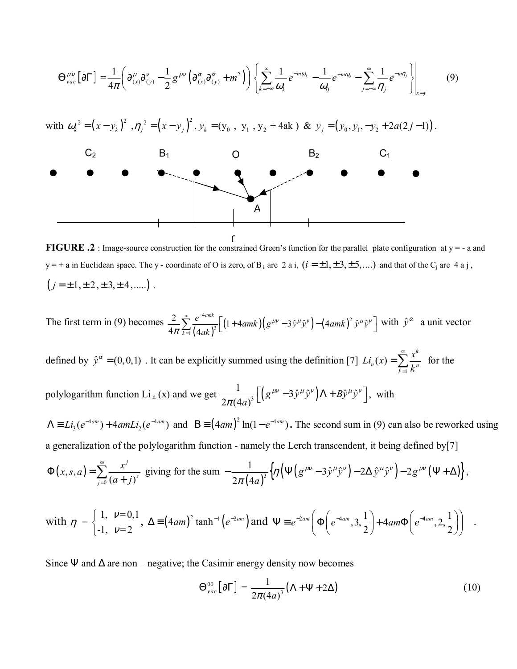$$
\Theta_{vac}^{\mu\nu}[\partial\Gamma] = \frac{1}{4\pi} \left( \partial_{(x)}^{\mu} \partial_{(y)}^{\nu} - \frac{1}{2} g^{\mu\nu} (\partial_{(x)}^{\alpha} \partial_{(y)}^{\alpha} + m^2) \right) \left\{ \sum_{k=-\infty}^{\infty} \frac{1}{\omega_k} e^{-m\omega_k} - \frac{1}{\omega_0} e^{-m\omega_0} - \sum_{j=-\infty}^{\infty} \frac{1}{\eta_j} e^{-m\eta_j} \right\}_{x=y}
$$
(9)  
with  $\omega_k^2 = (x - y_k)^2$ ,  $\eta_j^2 = (x - y_j)^2$ ,  $y_k = (y_0, y_1, y_2 + 4ak)$  &  $y_j = (y_0, y_1, -y_2 + 2a(2j-1))$ .  
C<sub>2</sub>  
**6**  
**7**  
**8**  
**8**  
 $y_j = (y_0, y_1, -y_2 + 2a(2j-1))$ .  
C<sub>2</sub>  
**9**  
**10**  
**11**  
**1**  
**1**  
**1**  
**1**  
**1**  
**1**  
**1**  
**1**  
**1**  
**1**  
**1**  
**1**  
**1**  
**1**  
**1**  
**1**  
**1**  
**1**  
**1**  
**1**  
**1**  
**1**  
**1**  
**1**  
**1**  
**1**  
**1**  
**1**  
**1**  
**1**  
**1**  
**1**  
**1**  
**1**  
**1**  
**1**  
**1**  
**1**  
**1**  
**1**  
**1**  
**1**  
**1**  
**1**  
**1**  
**1**<

 $\Omega$ **FIGURE .2** : Image-source construction for the constrained Green's function for the parallel plate configuration at  $y = -a$  and y = + a in Euclidean space. The y - coordinate of O is zero, of B<sub>i</sub> are 2 a i,  $(i = \pm 1, \pm 3, \pm 5,...)$  and that of the C<sub>i</sub> are 4 a j,  $(j = \pm 1, \pm 2, \pm 3, \pm 4, \dots)$ .

The first term in (9) becomes  $\frac{2}{4\pi} \sum_{k=1}^{\infty} \frac{e^{-4amk}}{(4ak)^3} \left[ (1+4amk) \left( g^{\mu\nu} -3\hat{y}^{\mu}\hat{y}^{\nu} \right) - \left( 4amk \right)^2 \hat{y}^{\mu}\hat{y}^{\nu} \right]$  with  $\hat{y}^{\alpha}$  a unit vector

defined by  $\hat{y}^{\alpha} = (0,0,1)$ . It can be explicitly summed using the definition [7]  $Li_n(x) = \sum_{k=1}^{\infty} \frac{x^k}{k^n}$  for the

polylogarithm function Li<sub>n</sub>(x) and we get  $\frac{1}{2\pi (4a)^3} \left[ \left( g^{\mu\nu} -3\hat{y}^\mu \hat{y}^\nu \right) \Lambda + B\hat{y}^\mu \hat{y}^\nu \right]$ , with

 $\Lambda = Li_3(e^{-4am}) + 4amLi_2(e^{-4am})$  and  $B = (4am)^2 \ln(1 - e^{-4am})$ . The second sum in (9) can also be reworked using a generalization of the polylogarithm function - namely the Lerch transcendent, it being defined by[7]

$$
\Phi(x,s,a) = \sum_{j=0}^{\infty} \frac{x^j}{(a+j)^s} \text{ giving for the sum } -\frac{1}{2\pi (4a)^3} \Big\{ \eta \Big( \Psi \Big( g^{\mu\nu} - 3\hat{y}^\mu \hat{y}^\nu \Big) - 2\Delta \hat{y}^\mu \hat{y}^\nu \Big) - 2g^{\mu\nu} \Big( \Psi + \Delta \Big) \Big\} \, ,
$$

with 
$$
\eta = \begin{cases} 1, & \nu = 0, 1 \\ -1, & \nu = 2 \end{cases}
$$
,  $\Delta = (4am)^2 \tanh^{-1}(e^{-2am})$  and  $\Psi = e^{-2am} \left( \Phi \left( e^{-4am}, 3, \frac{1}{2} \right) + 4am\Phi \left( e^{-4am}, 2, \frac{1}{2} \right) \right)$ 

Since  $\Psi$  and  $\Delta$  are non – negative; the Casimir energy density now becomes

$$
\Theta_{vac}^{00}\left[\partial\Gamma\right] = \frac{1}{2\pi (4a)^3} \left(\Lambda + \Psi + 2\Delta\right) \tag{10}
$$